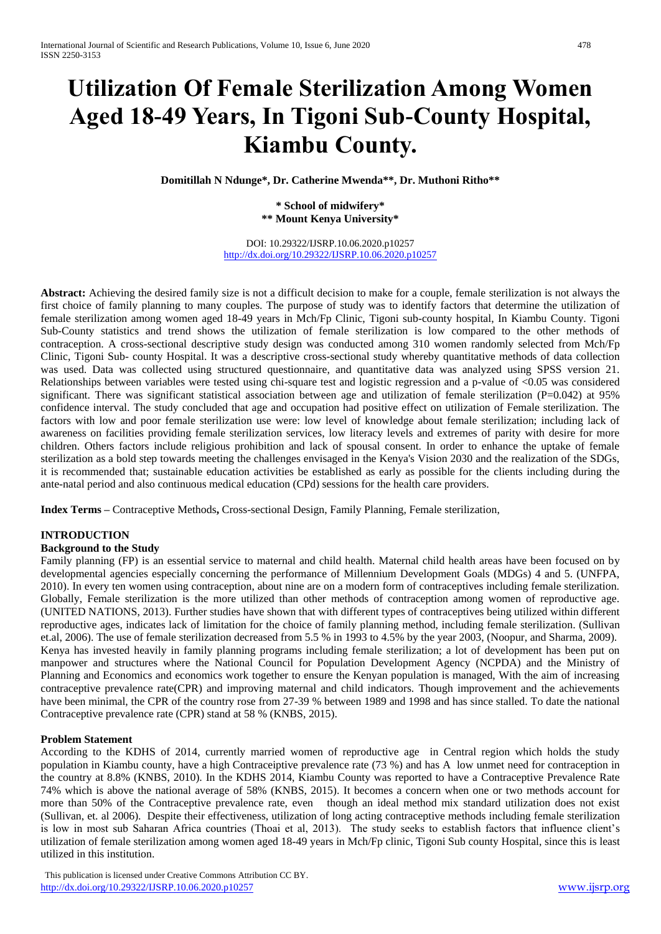# **Utilization Of Female Sterilization Among Women Aged 18-49 Years, In Tigoni Sub-County Hospital, Kiambu County.**

**Domitillah N Ndunge\*, Dr. Catherine Mwenda\*\*, Dr. Muthoni Ritho\*\***

**\* School of midwifery\* \*\* Mount Kenya University\***

DOI: 10.29322/IJSRP.10.06.2020.p10257 <http://dx.doi.org/10.29322/IJSRP.10.06.2020.p10257>

**Abstract:** Achieving the desired family size is not a difficult decision to make for a couple, female sterilization is not always the first choice of family planning to many couples. The purpose of study was to identify factors that determine the utilization of female sterilization among women aged 18-49 years in Mch/Fp Clinic, Tigoni sub-county hospital, In Kiambu County. Tigoni Sub-County statistics and trend shows the utilization of female sterilization is low compared to the other methods of contraception. A cross-sectional descriptive study design was conducted among 310 women randomly selected from Mch/Fp Clinic, Tigoni Sub- county Hospital. It was a descriptive cross-sectional study whereby quantitative methods of data collection was used. Data was collected using structured questionnaire, and quantitative data was analyzed using SPSS version 21. Relationships between variables were tested using chi-square test and logistic regression and a p-value of <0.05 was considered significant. There was significant statistical association between age and utilization of female sterilization (P=0.042) at 95% confidence interval. The study concluded that age and occupation had positive effect on utilization of Female sterilization. The factors with low and poor female sterilization use were: low level of knowledge about female sterilization; including lack of awareness on facilities providing female sterilization services, low literacy levels and extremes of parity with desire for more children. Others factors include religious prohibition and lack of spousal consent. In order to enhance the uptake of female sterilization as a bold step towards meeting the challenges envisaged in the Kenya's Vision 2030 and the realization of the SDGs, it is recommended that; sustainable education activities be established as early as possible for the clients including during the ante-natal period and also continuous medical education (CPd) sessions for the health care providers.

**Index Terms –** Contraceptive Methods**,** Cross-sectional Design, Family Planning, Female sterilization,

## **INTRODUCTION**

#### **Background to the Study**

Family planning (FP) is an essential service to maternal and child health. Maternal child health areas have been focused on by developmental agencies especially concerning the performance of Millennium Development Goals (MDGs) 4 and 5. (UNFPA, 2010). In every ten women using contraception, about nine are on a modern form of contraceptives including female sterilization. Globally, Female sterilization is the more utilized than other methods of contraception among women of reproductive age. (UNITED NATIONS, 2013). Further studies have shown that with different types of contraceptives being utilized within different reproductive ages, indicates lack of limitation for the choice of family planning method, including female sterilization. (Sullivan et.al, 2006). The use of female sterilization decreased from 5.5 % in 1993 to 4.5% by the year 2003, (Noopur, and Sharma, 2009). Kenya has invested heavily in family planning programs including female sterilization; a lot of development has been put on manpower and structures where the National Council for Population Development Agency (NCPDA) and the Ministry of Planning and Economics and economics work together to ensure the Kenyan population is managed, With the aim of increasing contraceptive prevalence rate(CPR) and improving maternal and child indicators. Though improvement and the achievements have been minimal, the CPR of the country rose from 27-39 % between 1989 and 1998 and has since stalled. To date the national Contraceptive prevalence rate (CPR) stand at 58 % (KNBS, 2015).

#### **Problem Statement**

According to the KDHS of 2014, currently married women of reproductive age in Central region which holds the study population in Kiambu county, have a high Contraceiptive prevalence rate (73 %) and has A low unmet need for contraception in the country at 8.8% (KNBS, 2010). In the KDHS 2014, Kiambu County was reported to have a Contraceptive Prevalence Rate 74% which is above the national average of 58% (KNBS, 2015). It becomes a concern when one or two methods account for more than 50% of the Contraceptive prevalence rate, even though an ideal method mix standard utilization does not exist (Sullivan, et. al 2006). Despite their effectiveness, utilization of long acting contraceptive methods including female sterilization is low in most sub Saharan Africa countries (Thoai et al, 2013). The study seeks to establish factors that influence client's utilization of female sterilization among women aged 18-49 years in Mch/Fp clinic, Tigoni Sub county Hospital, since this is least utilized in this institution.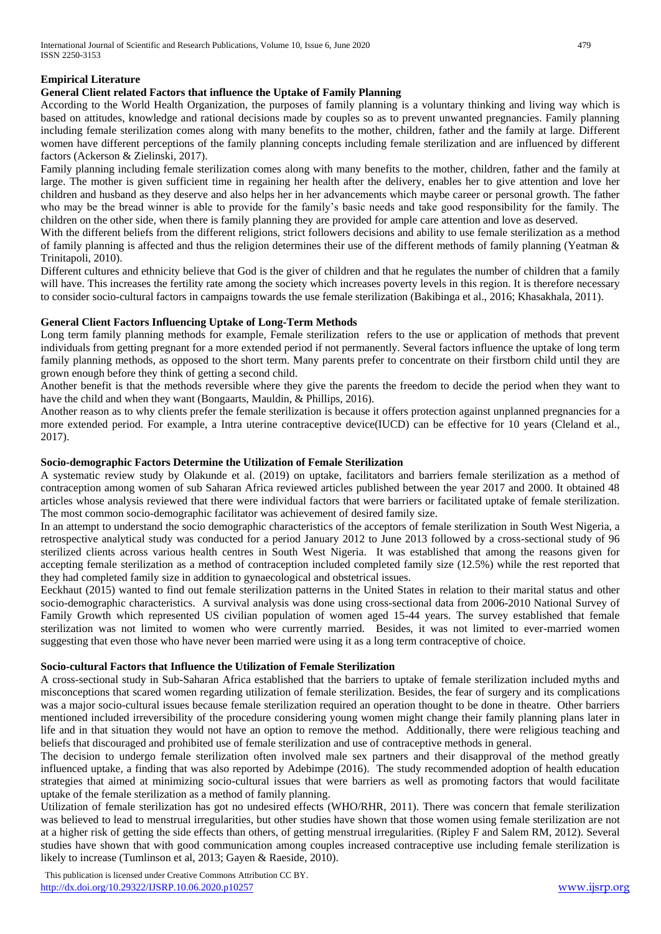# **Empirical Literature**

## **General Client related Factors that influence the Uptake of Family Planning**

According to the World Health Organization, the purposes of family planning is a voluntary thinking and living way which is based on attitudes, knowledge and rational decisions made by couples so as to prevent unwanted pregnancies. Family planning including female sterilization comes along with many benefits to the mother, children, father and the family at large. Different women have different perceptions of the family planning concepts including female sterilization and are influenced by different factors (Ackerson & Zielinski, 2017).

Family planning including female sterilization comes along with many benefits to the mother, children, father and the family at large. The mother is given sufficient time in regaining her health after the delivery, enables her to give attention and love her children and husband as they deserve and also helps her in her advancements which maybe career or personal growth. The father who may be the bread winner is able to provide for the family's basic needs and take good responsibility for the family. The children on the other side, when there is family planning they are provided for ample care attention and love as deserved.

With the different beliefs from the different religions, strict followers decisions and ability to use female sterilization as a method of family planning is affected and thus the religion determines their use of the different methods of family planning (Yeatman & Trinitapoli, 2010).

Different cultures and ethnicity believe that God is the giver of children and that he regulates the number of children that a family will have. This increases the fertility rate among the society which increases poverty levels in this region. It is therefore necessary to consider socio-cultural factors in campaigns towards the use female sterilization (Bakibinga et al., 2016; Khasakhala, 2011).

## **General Client Factors Influencing Uptake of Long-Term Methods**

Long term family planning methods for example, Female sterilization refers to the use or application of methods that prevent individuals from getting pregnant for a more extended period if not permanently. Several factors influence the uptake of long term family planning methods, as opposed to the short term. Many parents prefer to concentrate on their firstborn child until they are grown enough before they think of getting a second child.

Another benefit is that the methods reversible where they give the parents the freedom to decide the period when they want to have the child and when they want (Bongaarts, Mauldin, & Phillips, 2016).

Another reason as to why clients prefer the female sterilization is because it offers protection against unplanned pregnancies for a more extended period. For example, a Intra uterine contraceptive device(IUCD) can be effective for 10 years (Cleland et al., 2017).

## **Socio-demographic Factors Determine the Utilization of Female Sterilization**

A systematic review study by Olakunde et al. (2019) on uptake, facilitators and barriers female sterilization as a method of contraception among women of sub Saharan Africa reviewed articles published between the year 2017 and 2000. It obtained 48 articles whose analysis reviewed that there were individual factors that were barriers or facilitated uptake of female sterilization. The most common socio-demographic facilitator was achievement of desired family size.

In an attempt to understand the socio demographic characteristics of the acceptors of female sterilization in South West Nigeria, a retrospective analytical study was conducted for a period January 2012 to June 2013 followed by a cross-sectional study of 96 sterilized clients across various health centres in South West Nigeria. It was established that among the reasons given for accepting female sterilization as a method of contraception included completed family size (12.5%) while the rest reported that they had completed family size in addition to gynaecological and obstetrical issues.

Eeckhaut (2015) wanted to find out female sterilization patterns in the United States in relation to their marital status and other socio-demographic characteristics. A survival analysis was done using cross-sectional data from 2006-2010 National Survey of Family Growth which represented US civilian population of women aged 15-44 years. The survey established that female sterilization was not limited to women who were currently married. Besides, it was not limited to ever-married women suggesting that even those who have never been married were using it as a long term contraceptive of choice.

## **Socio-cultural Factors that Influence the Utilization of Female Sterilization**

A cross-sectional study in Sub-Saharan Africa established that the barriers to uptake of female sterilization included myths and misconceptions that scared women regarding utilization of female sterilization. Besides, the fear of surgery and its complications was a major socio-cultural issues because female sterilization required an operation thought to be done in theatre. Other barriers mentioned included irreversibility of the procedure considering young women might change their family planning plans later in life and in that situation they would not have an option to remove the method. Additionally, there were religious teaching and beliefs that discouraged and prohibited use of female sterilization and use of contraceptive methods in general.

The decision to undergo female sterilization often involved male sex partners and their disapproval of the method greatly influenced uptake, a finding that was also reported by Adebimpe (2016). The study recommended adoption of health education strategies that aimed at minimizing socio-cultural issues that were barriers as well as promoting factors that would facilitate uptake of the female sterilization as a method of family planning.

Utilization of female sterilization has got no undesired effects (WHO/RHR, 2011). There was concern that female sterilization was believed to lead to menstrual irregularities, but other studies have shown that those women using female sterilization are not at a higher risk of getting the side effects than others, of getting menstrual irregularities. (Ripley F and Salem RM, 2012). Several studies have shown that with good communication among couples increased contraceptive use including female sterilization is likely to increase (Tumlinson et al, 2013; Gayen & Raeside, 2010).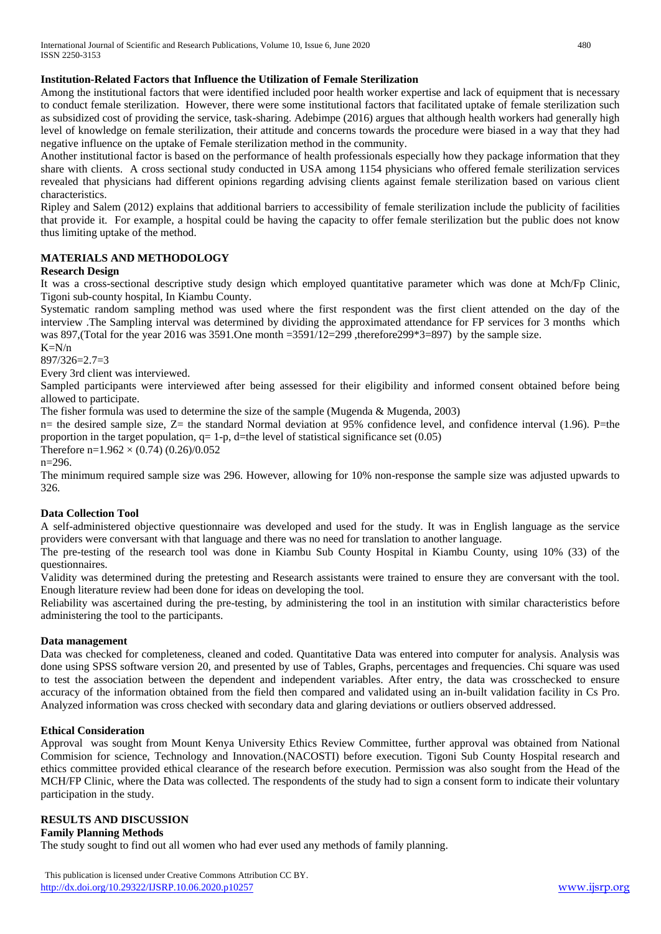## **Institution-Related Factors that Influence the Utilization of Female Sterilization**

Among the institutional factors that were identified included poor health worker expertise and lack of equipment that is necessary to conduct female sterilization. However, there were some institutional factors that facilitated uptake of female sterilization such as subsidized cost of providing the service, task-sharing. Adebimpe (2016) argues that although health workers had generally high level of knowledge on female sterilization, their attitude and concerns towards the procedure were biased in a way that they had negative influence on the uptake of Female sterilization method in the community.

Another institutional factor is based on the performance of health professionals especially how they package information that they share with clients. A cross sectional study conducted in USA among 1154 physicians who offered female sterilization services revealed that physicians had different opinions regarding advising clients against female sterilization based on various client characteristics.

Ripley and Salem (2012) explains that additional barriers to accessibility of female sterilization include the publicity of facilities that provide it. For example, a hospital could be having the capacity to offer female sterilization but the public does not know thus limiting uptake of the method.

# **MATERIALS AND METHODOLOGY**

## **Research Design**

It was a cross-sectional descriptive study design which employed quantitative parameter which was done at Mch/Fp Clinic, Tigoni sub-county hospital, In Kiambu County.

Systematic random sampling method was used where the first respondent was the first client attended on the day of the interview .The Sampling interval was determined by dividing the approximated attendance for FP services for 3 months which was 897,(Total for the year 2016 was 3591.One month =3591/12=299 , therefore 299\*3=897) by the sample size.

 $K=N/n$ 

897/326=2.7=3

Every 3rd client was interviewed.

Sampled participants were interviewed after being assessed for their eligibility and informed consent obtained before being allowed to participate.

The fisher formula was used to determine the size of the sample (Mugenda  $\&$  Mugenda, 2003)

n= the desired sample size,  $Z=$  the standard Normal deviation at 95% confidence level, and confidence interval (1.96). P=the proportion in the target population,  $q=1-p$ , d=the level of statistical significance set (0.05)

Therefore n= $1.962 \times (0.74) (0.26)/0.052$ 

n=296.

The minimum required sample size was 296. However, allowing for 10% non-response the sample size was adjusted upwards to 326.

## **Data Collection Tool**

A self-administered objective questionnaire was developed and used for the study. It was in English language as the service providers were conversant with that language and there was no need for translation to another language.

The pre-testing of the research tool was done in Kiambu Sub County Hospital in Kiambu County, using 10% (33) of the questionnaires.

Validity was determined during the pretesting and Research assistants were trained to ensure they are conversant with the tool. Enough literature review had been done for ideas on developing the tool.

Reliability was ascertained during the pre-testing, by administering the tool in an institution with similar characteristics before administering the tool to the participants.

## **Data management**

Data was checked for completeness, cleaned and coded. Quantitative Data was entered into computer for analysis. Analysis was done using SPSS software version 20, and presented by use of Tables, Graphs, percentages and frequencies. Chi square was used to test the association between the dependent and independent variables. After entry, the data was crosschecked to ensure accuracy of the information obtained from the field then compared and validated using an in-built validation facility in Cs Pro. Analyzed information was cross checked with secondary data and glaring deviations or outliers observed addressed.

## **Ethical Consideration**

Approval was sought from Mount Kenya University Ethics Review Committee, further approval was obtained from National Commision for science, Technology and Innovation.(NACOSTI) before execution. Tigoni Sub County Hospital research and ethics committee provided ethical clearance of the research before execution. Permission was also sought from the Head of the MCH/FP Clinic, where the Data was collected. The respondents of the study had to sign a consent form to indicate their voluntary participation in the study.

# **RESULTS AND DISCUSSION**

## **Family Planning Methods**

The study sought to find out all women who had ever used any methods of family planning.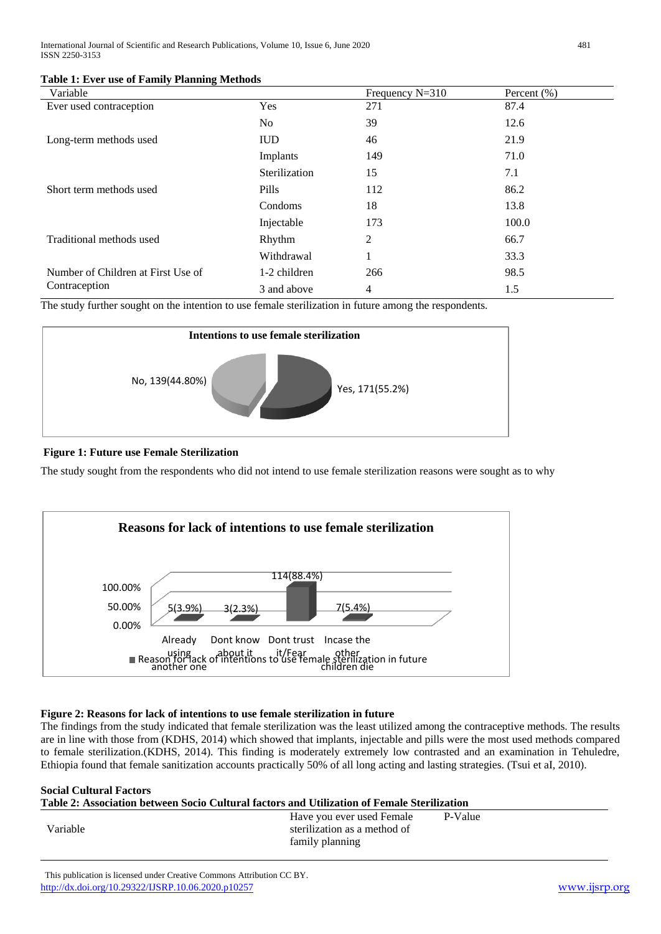| <b>Table 1: Ever use of Family Planning Methods</b> |  |
|-----------------------------------------------------|--|
|-----------------------------------------------------|--|

| Variable                                            |               | Frequency $N=310$ | Percent $(\% )$ |
|-----------------------------------------------------|---------------|-------------------|-----------------|
| Ever used contraception                             | Yes           | 271               | 87.4            |
|                                                     | No.           | 39                | 12.6            |
| Long-term methods used                              | <b>IUD</b>    | 46                | 21.9            |
|                                                     | Implants      | 149               | 71.0            |
|                                                     | Sterilization | 15                | 7.1             |
| Short term methods used                             | Pills         | 112               | 86.2            |
|                                                     | Condoms       | 18                | 13.8            |
|                                                     | Injectable    | 173               | 100.0           |
| Traditional methods used                            | Rhythm        | $\overline{2}$    | 66.7            |
|                                                     | Withdrawal    | -1                | 33.3            |
| Number of Children at First Use of<br>Contraception | 1-2 children  | 266               | 98.5            |
|                                                     | 3 and above   | 4                 | 1.5             |

The study further sought on the intention to use female sterilization in future among the respondents.



## **Figure 1: Future use Female Sterilization**

The study sought from the respondents who did not intend to use female sterilization reasons were sought as to why



## **Figure 2: Reasons for lack of intentions to use female sterilization in future**

The findings from the study indicated that female sterilization was the least utilized among the contraceptive methods. The results are in line with those from (KDHS, 2014) which showed that implants, injectable and pills were the most used methods compared to female sterilization.(KDHS, 2014). This finding is moderately extremely low contrasted and an examination in Tehuledre, Ethiopia found that female sanitization accounts practically 50% of all long acting and lasting strategies. (Tsui et aI, 2010).

| <b>Social Cultural Factors</b>                                                              |                                                                              |         |  |  |
|---------------------------------------------------------------------------------------------|------------------------------------------------------------------------------|---------|--|--|
| Table 2: Association between Socio Cultural factors and Utilization of Female Sterilization |                                                                              |         |  |  |
| Variable                                                                                    | Have you ever used Female<br>sterilization as a method of<br>family planning | P-Value |  |  |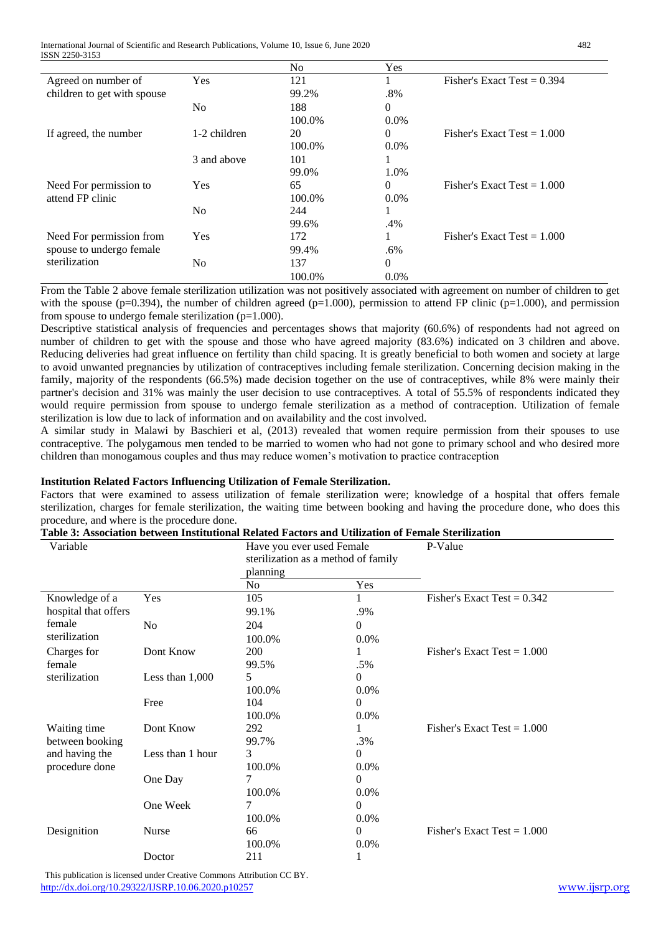International Journal of Scientific and Research Publications, Volume 10, Issue 6, June 2020 482 ISSN 2250-3153

|                             |              | N <sub>0</sub> | Yes      |                               |
|-----------------------------|--------------|----------------|----------|-------------------------------|
| Agreed on number of         | Yes          | 121            |          | Fisher's Exact Test = $0.394$ |
| children to get with spouse |              | 99.2%          | .8%      |                               |
|                             | No.          | 188            | $\Omega$ |                               |
|                             |              | 100.0%         | $0.0\%$  |                               |
| If agreed, the number       | 1-2 children | 20             | $\Omega$ | Fisher's Exact Test $= 1.000$ |
|                             |              | 100.0%         | $0.0\%$  |                               |
|                             | 3 and above  | 101            |          |                               |
|                             |              | 99.0%          | 1.0%     |                               |
| Need For permission to      | Yes          | 65             | $\Omega$ | Fisher's Exact Test $= 1.000$ |
| attend FP clinic            |              | 100.0%         | $0.0\%$  |                               |
|                             | No.          | 244            |          |                               |
|                             |              | 99.6%          | .4%      |                               |
| Need For permission from    | Yes          | 172            |          | Fisher's Exact Test $= 1.000$ |
| spouse to undergo female    |              | 99.4%          | .6%      |                               |
| sterilization               | No.          | 137            | $\Omega$ |                               |
|                             |              | 100.0%         | $0.0\%$  |                               |

From the Table 2 above female sterilization utilization was not positively associated with agreement on number of children to get with the spouse (p=0.394), the number of children agreed (p=1.000), permission to attend FP clinic (p=1.000), and permission from spouse to undergo female sterilization  $(p=1.000)$ .

Descriptive statistical analysis of frequencies and percentages shows that majority (60.6%) of respondents had not agreed on number of children to get with the spouse and those who have agreed majority (83.6%) indicated on 3 children and above. Reducing deliveries had great influence on fertility than child spacing. It is greatly beneficial to both women and society at large to avoid unwanted pregnancies by utilization of contraceptives including female sterilization. Concerning decision making in the family, majority of the respondents (66.5%) made decision together on the use of contraceptives, while 8% were mainly their partner's decision and 31% was mainly the user decision to use contraceptives. A total of 55.5% of respondents indicated they would require permission from spouse to undergo female sterilization as a method of contraception. Utilization of female sterilization is low due to lack of information and on availability and the cost involved.

A similar study in Malawi by Baschieri et al, (2013) revealed that women require permission from their spouses to use contraceptive. The polygamous men tended to be married to women who had not gone to primary school and who desired more children than monogamous couples and thus may reduce women's motivation to practice contraception

## **Institution Related Factors Influencing Utilization of Female Sterilization.**

Factors that were examined to assess utilization of female sterilization were; knowledge of a hospital that offers female sterilization, charges for female sterilization, the waiting time between booking and having the procedure done, who does this procedure, and where is the procedure done.

| Variable             |                   | Have you ever used Female<br>sterilization as a method of family |          | P-Value                       |
|----------------------|-------------------|------------------------------------------------------------------|----------|-------------------------------|
|                      |                   | planning                                                         |          |                               |
|                      |                   | No.                                                              | Yes      |                               |
| Knowledge of a       | Yes               | 105                                                              |          | Fisher's Exact Test = $0.342$ |
| hospital that offers |                   | 99.1%                                                            | .9%      |                               |
| female               | No                | 204                                                              | $\Omega$ |                               |
| sterilization        |                   | 100.0%                                                           | $0.0\%$  |                               |
| Charges for          | Dont Know         | 200                                                              | 1        | Fisher's Exact Test = $1.000$ |
| female               |                   | 99.5%                                                            | .5%      |                               |
| sterilization        | Less than $1,000$ | 5                                                                | 0        |                               |
|                      |                   | 100.0%                                                           | 0.0%     |                               |
|                      | Free              | 104                                                              | $\theta$ |                               |
|                      |                   | 100.0%                                                           | $0.0\%$  |                               |
| Waiting time         | Dont Know         | 292                                                              | 1        | Fisher's Exact Test = $1.000$ |
| between booking      |                   | 99.7%                                                            | .3%      |                               |
| and having the       | Less than 1 hour  | 3                                                                | $\theta$ |                               |
| procedure done       |                   | 100.0%                                                           | $0.0\%$  |                               |
|                      | One Day           |                                                                  | $\Omega$ |                               |
|                      |                   | 100.0%                                                           | $0.0\%$  |                               |
|                      | One Week          | 7                                                                | $\theta$ |                               |
|                      |                   | 100.0%                                                           | 0.0%     |                               |
| Designition          | Nurse             | 66                                                               | $\Omega$ | Fisher's Exact Test = $1.000$ |
|                      |                   | 100.0%                                                           | 0.0%     |                               |
|                      | Doctor            | 211                                                              |          |                               |

 This publication is licensed under Creative Commons Attribution CC BY. <http://dx.doi.org/10.29322/IJSRP.10.06.2020.p10257> [www.ijsrp.org](http://ijsrp.org/)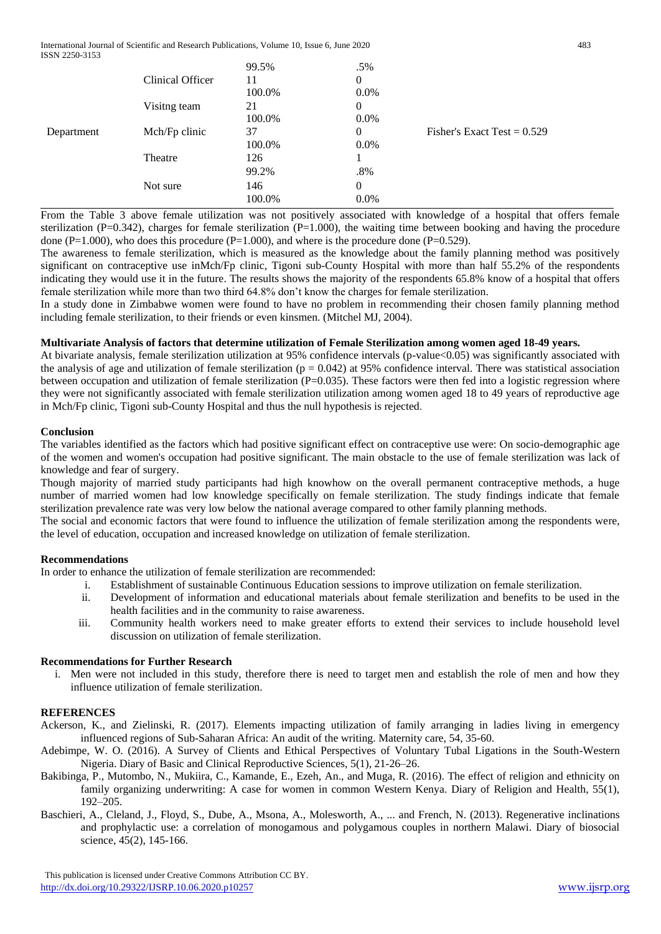International Journal of Scientific and Research Publications, Volume 10, Issue 6, June 2020 483 ISSN 2250-3153

|            |                  | 99.5%  | .5%          |                               |
|------------|------------------|--------|--------------|-------------------------------|
|            | Clinical Officer | 11     | $\mathbf{0}$ |                               |
|            |                  | 100.0% | $0.0\%$      |                               |
|            | Visitng team     | 21     | $\Omega$     |                               |
|            |                  | 100.0% | $0.0\%$      |                               |
| Department | Mch/Fp clinic    | 37     | $\Omega$     | Fisher's Exact Test = $0.529$ |
|            |                  | 100.0% | $0.0\%$      |                               |
|            | Theatre          | 126    |              |                               |
|            |                  | 99.2%  | $.8\%$       |                               |
|            | Not sure         | 146    | $\mathbf{0}$ |                               |
|            |                  | 100.0% | $0.0\%$      |                               |

From the Table 3 above female utilization was not positively associated with knowledge of a hospital that offers female sterilization (P=0.342), charges for female sterilization (P=1.000), the waiting time between booking and having the procedure done ( $P=1.000$ ), who does this procedure ( $P=1.000$ ), and where is the procedure done ( $P=0.529$ ).

The awareness to female sterilization, which is measured as the knowledge about the family planning method was positively significant on contraceptive use inMch/Fp clinic, Tigoni sub-County Hospital with more than half 55.2% of the respondents indicating they would use it in the future. The results shows the majority of the respondents 65.8% know of a hospital that offers female sterilization while more than two third 64.8% don't know the charges for female sterilization.

In a study done in Zimbabwe women were found to have no problem in recommending their chosen family planning method including female sterilization, to their friends or even kinsmen. (Mitchel MJ, 2004).

## **Multivariate Analysis of factors that determine utilization of Female Sterilization among women aged 18-49 years.**

At bivariate analysis, female sterilization utilization at 95% confidence intervals (p-value<0.05) was significantly associated with the analysis of age and utilization of female sterilization ( $p = 0.042$ ) at 95% confidence interval. There was statistical association between occupation and utilization of female sterilization (P=0.035). These factors were then fed into a logistic regression where they were not significantly associated with female sterilization utilization among women aged 18 to 49 years of reproductive age in Mch/Fp clinic, Tigoni sub-County Hospital and thus the null hypothesis is rejected.

#### **Conclusion**

The variables identified as the factors which had positive significant effect on contraceptive use were: On socio-demographic age of the women and women's occupation had positive significant. The main obstacle to the use of female sterilization was lack of knowledge and fear of surgery.

Though majority of married study participants had high knowhow on the overall permanent contraceptive methods, a huge number of married women had low knowledge specifically on female sterilization. The study findings indicate that female sterilization prevalence rate was very low below the national average compared to other family planning methods.

The social and economic factors that were found to influence the utilization of female sterilization among the respondents were, the level of education, occupation and increased knowledge on utilization of female sterilization.

## **Recommendations**

In order to enhance the utilization of female sterilization are recommended:

- i. Establishment of sustainable Continuous Education sessions to improve utilization on female sterilization.
- ii. Development of information and educational materials about female sterilization and benefits to be used in the health facilities and in the community to raise awareness.
- iii. Community health workers need to make greater efforts to extend their services to include household level discussion on utilization of female sterilization.

## **Recommendations for Further Research**

i. Men were not included in this study, therefore there is need to target men and establish the role of men and how they influence utilization of female sterilization.

## **REFERENCES**

Ackerson, K., and Zielinski, R. (2017). Elements impacting utilization of family arranging in ladies living in emergency influenced regions of Sub-Saharan Africa: An audit of the writing. Maternity care, 54, 35-60.

- Adebimpe, W. O. (2016). A Survey of Clients and Ethical Perspectives of Voluntary Tubal Ligations in the South-Western Nigeria. Diary of Basic and Clinical Reproductive Sciences, 5(1), 21-26–26.
- Bakibinga, P., Mutombo, N., Mukiira, C., Kamande, E., Ezeh, An., and Muga, R. (2016). The effect of religion and ethnicity on family organizing underwriting: A case for women in common Western Kenya. Diary of Religion and Health, 55(1), 192–205.
- Baschieri, A., Cleland, J., Floyd, S., Dube, A., Msona, A., Molesworth, A., ... and French, N. (2013). Regenerative inclinations and prophylactic use: a correlation of monogamous and polygamous couples in northern Malawi. Diary of biosocial science, 45(2), 145-166.